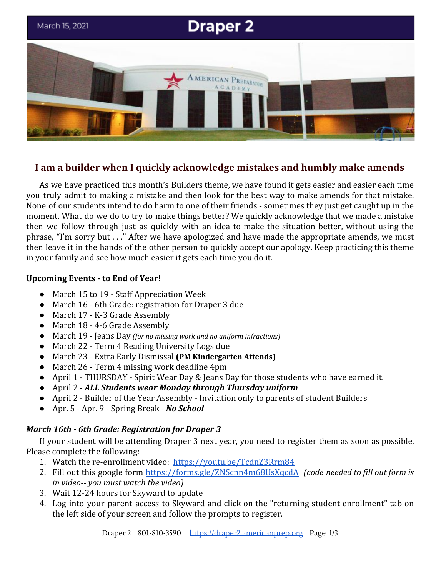

# **I am a builder when I quickly acknowledge mistakes and humbly make amends**

As we have practiced this month's Builders theme, we have found it gets easier and easier each time you truly admit to making a mistake and then look for the best way to make amends for that mistake. None of our students intend to do harm to one of their friends - sometimes they just get caught up in the moment. What do we do to try to make things better? We quickly acknowledge that we made a mistake then we follow through just as quickly with an idea to make the situation better, without using the phrase, "I'm sorry but . . ." After we have apologized and have made the appropriate amends, we must then leave it in the hands of the other person to quickly accept our apology. Keep practicing this theme in your family and see how much easier it gets each time you do it.

# **Upcoming Events - to End of Year!**

- March 15 to 19 Staff Appreciation Week
- March 16 6th Grade: registration for Draper 3 due
- March 17 K-3 Grade Assembly
- March 18 4-6 Grade Assembly
- March 19 Jeans Day *(for no missing work and no uniform infractions)*
- March 22 Term 4 Reading University Logs due
- March 23 Extra Early Dismissal **(PM Kindergarten Attends)**
- March 26 Term 4 missing work deadline 4pm
- April 1 THURSDAY Spirit Wear Day & Jeans Day for those students who have earned it.
- April 2 - *ALL Students wear Monday through Thursday uniform*
- April 2 Builder of the Year Assembly Invitation only to parents of student Builders
- Apr. 5 Apr. 9 Spring Break *No School*

# *March 16th - 6th Grade: Registration for Draper 3*

If your student will be attending Draper 3 next year, you need to register them as soon as possible. Please complete the following:

- 1. Watch the re-enrollment video: <https://youtu.be/TcdnZ3Rrm84>
- 2. Fill out this google form <https://forms.gle/ZNScnn4m68UsXqcdA> *(code needed to fill out form is in video-- you must watch the video)*
- 3. Wait 12-24 hours for Skyward to update
- 4. Log into your parent access to Skyward and click on the "returning student enrollment" tab on the left side of your screen and follow the prompts to register.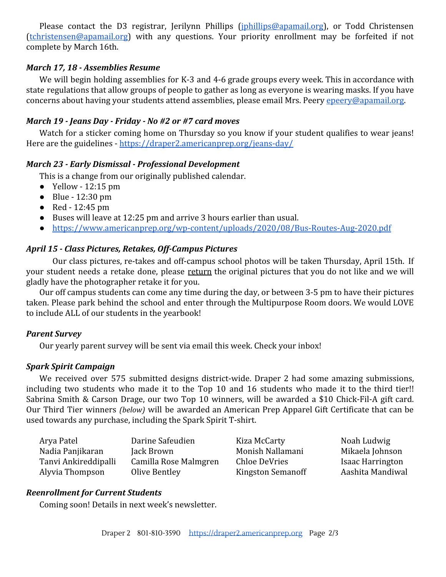Please contact the D3 registrar, Jerilynn Phillips (*[jphillips@apamail.org](mailto:jphillips@apamail.org)*), or Todd Christensen [\(tchristensen@apamail.org\)](mailto:tchristensen@apamail.org) with any questions. Your priority enrollment may be forfeited if not complete by March 16th.

## *March 17, 18 - Assemblies Resume*

We will begin holding assemblies for K-3 and 4-6 grade groups every week. This in accordance with state regulations that allow groups of people to gather as long as everyone is wearing masks. If you have concerns about having your students attend assemblies, please email Mrs. Peery [epeery@apamail.org.](mailto:epeery@apamail.org)

### *March 19 - Jeans Day - Friday - No #2 or #7 card moves*

Watch for a sticker coming home on Thursday so you know if your student qualifies to wear jeans! Here are the guidelines - <https://draper2.americanprep.org/jeans-day/>

#### *March 23 - Early Dismissal - Professional Development*

This is a change from our originally published calendar.

- Yellow  $-12:15 \text{ pm}$
- $\bullet$  Blue 12:30 pm
- $\bullet$  Red 12:45 pm
- Buses will leave at 12:25 pm and arrive 3 hours earlier than usual.
- <https://www.americanprep.org/wp-content/uploads/2020/08/Bus-Routes-Aug-2020.pdf>

## *April 15 - Class Pictures, Retakes, Off-Campus Pictures*

Our class pictures, re-takes and off-campus school photos will be taken Thursday, April 15th. If your student needs a retake done, please return the original pictures that you do not like and we will gladly have the photographer retake it for you.

Our off campus students can come any time during the day, or between 3-5 pm to have their pictures taken. Please park behind the school and enter through the Multipurpose Room doors. We would LOVE to include ALL of our students in the yearbook!

#### *Parent Survey*

Our yearly parent survey will be sent via email this week. Check your inbox!

#### *Spark Spirit Campaign*

We received over 575 submitted designs district-wide. Draper 2 had some amazing submissions, including two students who made it to the Top 10 and 16 students who made it to the third tier!! Sabrina Smith & Carson Drage, our two Top 10 winners, will be awarded a \$10 Chick-Fil-A gift card. Our Third Tier winners *(below)* will be awarded an American Prep Apparel Gift Certificate that can be used towards any purchase, including the Spark Spirit T-shirt.

| Arya Patel           | Darine Safeudien      | Kiza McCarty             | Noah Ludwig             |
|----------------------|-----------------------|--------------------------|-------------------------|
| Nadia Panjikaran     | Jack Brown            | Monish Nallamani         | Mikaela Johnson         |
| Tanvi Ankireddipalli | Camilla Rose Malmgren | Chloe DeVries            | <b>Isaac Harrington</b> |
| Alyvia Thompson      | Olive Bentley         | <b>Kingston Semanoff</b> | Aashita Mandiwal        |

#### *Reenrollment for Current Students*

Coming soon! Details in next week's newsletter.